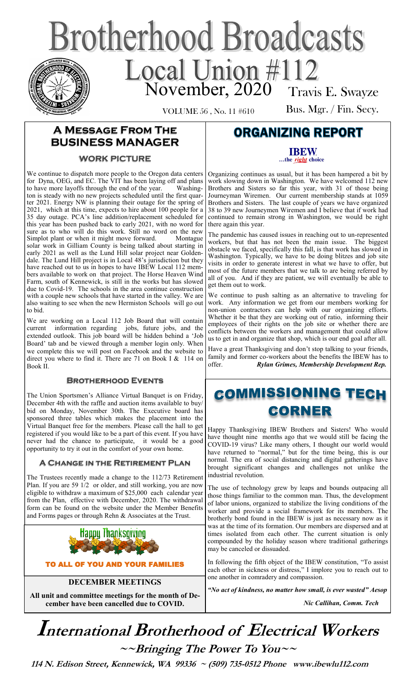# **Brotherhood Broadcasts** Local Union #112 Travis E. Swayze

VOLUME 56 , No. 11 #610

Bus. Mgr. / Fin. Secy.

### **A Message From The BUSINESS MANAGER**

#### **WORK PICTURE**

We continue to dispatch more people to the Oregon data centers for Dyna, OEG, and EC. The VIT has been laying off and plans to have more layoffs through the end of the year. Washington is steady with no new projects scheduled until the first quarter 2021. Energy NW is planning their outage for the spring of 2021, which at this time, expects to hire about 100 people for a 35 day outage. PCA's line addition/replacement scheduled for this year has been pushed back to early 2021, with no word for sure as to who will do this work. Still no word on the new Simplot plant or when it might move forward. Montague solar work in Gilliam County is being talked about starting in early 2021 as well as the Lund Hill solar project near Goldendale. The Lund Hill project is in Local 48's jurisdiction but they have reached out to us in hopes to have IBEW Local 112 members available to work on that project. The Horse Heaven Wind Farm, south of Kennewick, is still in the works but has slowed due to Covid-19. The schools in the area continue construction with a couple new schools that have started in the valley. We are also waiting to see when the new Hermiston Schools will go out to bid.

We are working on a Local 112 Job Board that will contain current information regarding jobs, future jobs, and the extended outlook. This job board will be hidden behind a 'Job Board' tab and be viewed through a member login only. When we complete this we will post on Facebook and the website to direct you where to find it. There are 71 on Book I & 114 on Book II.

#### **Brotherhood Events**

The Union Sportsmen's Alliance Virtual Banquet is on Friday, December 4th with the raffle and auction items available to buy/ bid on Monday, November 30th. The Executive board has sponsored three tables which makes the placement into the Virtual Banquet free for the members. Please call the hall to get registered if you would like to be a part of this event. If you have never had the chance to participate, it would be a good opportunity to try it out in the comfort of your own home.

#### **A Change in the Retirement Plan**

The Trustees recently made a change to the 112/73 Retirement Plan. If you are 59 1/2 or older, and still working, you are now eligible to withdraw a maximum of \$25,000 each calendar year from the Plan, effective with December, 2020. The withdrawal form can be found on the website under the Member Benefits and Forms pages or through Rehn & Associates at the Trust.



TO ALL OF YOU AND YOUR FAMILIES

**DECEMBER MEETINGS**

**All unit and committee meetings for the month of December have been cancelled due to COVID.** 

## **ORGANIZING REPORT**

**IBEW** ...the right choice

Organizing continues as usual, but it has been hampered a bit by work slowing down in Washington. We have welcomed 112 new Brothers and Sisters so far this year, with 31 of those being Journeyman Wiremen. Our current membership stands at 1059 Brothers and Sisters. The last couple of years we have organized 38 to 39 new Journeymen Wiremen and I believe that if work had continued to remain strong in Washington, we would be right there again this year.

The pandemic has caused issues in reaching out to un-represented workers, but that has not been the main issue. The biggest obstacle we faced, specifically this fall, is that work has slowed in Washington. Typically, we have to be doing blitzes and job site visits in order to generate interest in what we have to offer, but most of the future members that we talk to are being referred by all of you. And if they are patient, we will eventually be able to get them out to work.

We continue to push salting as an alternative to traveling for work. Any information we get from our members working for non-union contractors can help with our organizing efforts. Whether it be that they are working out of ratio, informing their employees of their rights on the job site or whether there are conflicts between the workers and management that could allow us to get in and organize that shop, which is our end goal after all.

Have a great Thanksgiving and don't stop talking to your friends, family and former co-workers about the benefits the IBEW has to offer. *Rylan Grimes, Membership Development Rep.*

## **COMMISSIONING TECH CORNER**

Happy Thanksgiving IBEW Brothers and Sisters! Who would have thought nine months ago that we would still be facing the COVID-19 virus? Like many others, I thought our world would have returned to "normal," but for the time being, this is our normal. The era of social distancing and digital gatherings have brought significant changes and challenges not unlike the industrial revolution.

The use of technology grew by leaps and bounds outpacing all those things familiar to the common man. Thus, the development of labor unions, organized to stabilize the living conditions of the worker and provide a social framework for its members. The brotherly bond found in the IBEW is just as necessary now as it was at the time of its formation. Our members are dispersed and at times isolated from each other. The current situation is only compounded by the holiday season where traditional gatherings may be canceled or dissuaded.

In following the fifth object of the IBEW constitution, "To assist each other in sickness or distress," I implore you to reach out to one another in comradery and compassion.

*"No act of kindness, no matter how small, is ever wasted" Aesop*

 *Nic Callihan, Comm. Tech*

# **International Brotherhood of <sup>E</sup>lectrical Workers ~~Bringing The Power To You~~**

 **114 N. Edison Street, Kennewick, WA 99336 ~ (509) 735-0512 Phone www.ibewlu112.com**